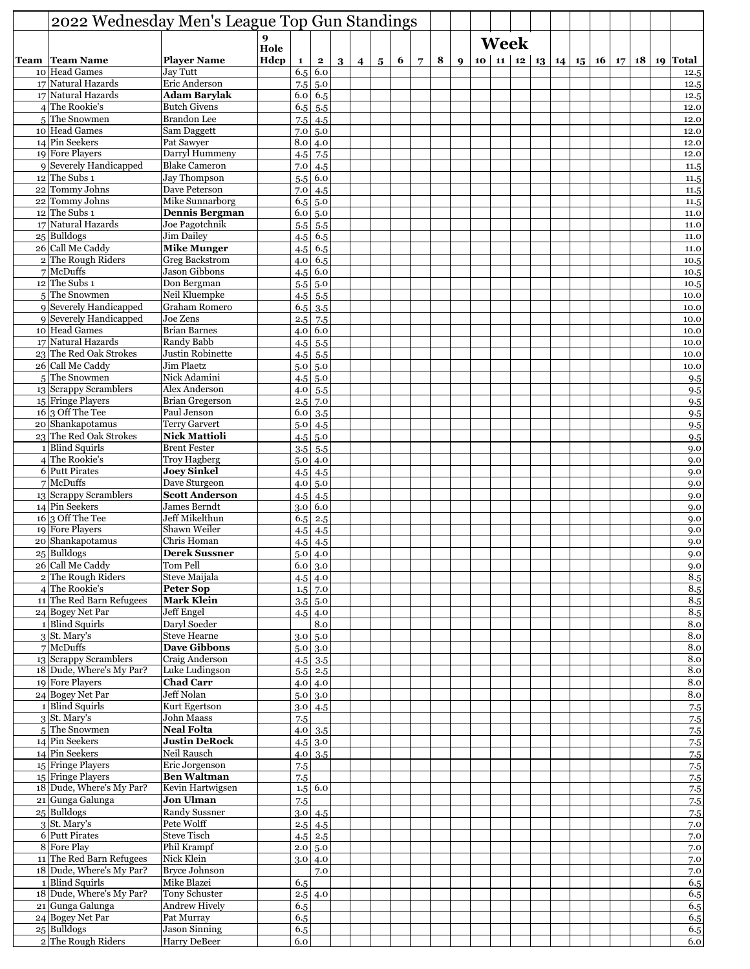| 2022 Wednesday Men's League Top Gun Standings |                                            |           |             |                               |                |           |                 |   |             |   |                  |             |  |  |  |  |                                                         |
|-----------------------------------------------|--------------------------------------------|-----------|-------------|-------------------------------|----------------|-----------|-----------------|---|-------------|---|------------------|-------------|--|--|--|--|---------------------------------------------------------|
|                                               |                                            | 9<br>Hole |             |                               |                |           |                 |   |             |   |                  | <b>Week</b> |  |  |  |  |                                                         |
| <b>Team   Team Name</b>                       | <b>Player Name</b>                         | Hdcp      | $\mathbf 1$ | $\mathbf{2}$                  | 3 <sup>1</sup> | $\vert$ 4 | $5\overline{)}$ | 6 | $7^{\circ}$ | 8 | $\boldsymbol{Q}$ |             |  |  |  |  | 10   11   12   13   14   15   16   17   18   19   Total |
| 10 Head Games                                 | Jay Tutt                                   |           | 6.5         | 6.0                           |                |           |                 |   |             |   |                  |             |  |  |  |  | 12.5                                                    |
| 17 Natural Hazards                            | Eric Anderson                              |           | 7.5         | 5.0                           |                |           |                 |   |             |   |                  |             |  |  |  |  | 12.5                                                    |
| 17 Natural Hazards                            | <b>Adam Barylak</b>                        |           | 6.0         | 6.5                           |                |           |                 |   |             |   |                  |             |  |  |  |  | 12.5                                                    |
| $4$ The Rookie's                              | <b>Butch Givens</b>                        |           | 6.5         | 5.5                           |                |           |                 |   |             |   |                  |             |  |  |  |  | 12.0                                                    |
| 5 The Snowmen                                 | <b>Brandon</b> Lee                         |           | 7.5         | 4.5                           |                |           |                 |   |             |   |                  |             |  |  |  |  | 12.0                                                    |
| 10 Head Games                                 | Sam Daggett                                |           | 7.0         | 5.0                           |                |           |                 |   |             |   |                  |             |  |  |  |  | 12.0                                                    |
| 14 Pin Seekers<br>19 Fore Players             | Pat Sawyer<br>Darryl Hummeny               |           | 8.0         | 4.0<br>7.5                    |                |           |                 |   |             |   |                  |             |  |  |  |  | 12.0<br>12.0                                            |
| 9 Severely Handicapped                        | <b>Blake Cameron</b>                       |           | 4.5<br>7.0  | 4.5                           |                |           |                 |   |             |   |                  |             |  |  |  |  | 11.5                                                    |
| $12$ The Subs 1                               | Jay Thompson                               |           | 5.5         | 6.0                           |                |           |                 |   |             |   |                  |             |  |  |  |  | 11.5                                                    |
| 22 Tommy Johns                                | Dave Peterson                              |           | 7.0         | 4.5                           |                |           |                 |   |             |   |                  |             |  |  |  |  | 11.5                                                    |
| 22 Tommy Johns                                | Mike Sunnarborg                            |           | 6.5         | 5.0                           |                |           |                 |   |             |   |                  |             |  |  |  |  | 11.5                                                    |
| $12$ The Subs 1                               | <b>Dennis Bergman</b>                      |           | 6.0         | 5.0                           |                |           |                 |   |             |   |                  |             |  |  |  |  | 11.0                                                    |
| 17 Natural Hazards                            | Joe Pagotchnik                             |           | 5.5         | 5.5                           |                |           |                 |   |             |   |                  |             |  |  |  |  | 11.0                                                    |
| 25 Bulldogs                                   | <b>Jim Dailey</b>                          |           | 4.5         | 6.5                           |                |           |                 |   |             |   |                  |             |  |  |  |  | 11.0                                                    |
| 26 Call Me Caddy                              | <b>Mike Munger</b>                         |           | 4.5         | 6.5                           |                |           |                 |   |             |   |                  |             |  |  |  |  | 11.0                                                    |
| 2 The Rough Riders                            | <b>Greg Backstrom</b>                      |           | 4.0         | 6.5                           |                |           |                 |   |             |   |                  |             |  |  |  |  | 10.5                                                    |
| $7$ McDuffs                                   | Jason Gibbons                              |           | 4.5         | 6.0                           |                |           |                 |   |             |   |                  |             |  |  |  |  | 10.5                                                    |
| $12$ The Subs 1<br>5The Snowmen               | Don Bergman<br>Neil Kluempke               |           | 5.5         | 5.0                           |                |           |                 |   |             |   |                  |             |  |  |  |  | 10.5                                                    |
| 9 Severely Handicapped                        | <b>Graham Romero</b>                       |           | 4.5<br>6.5  | 5.5<br>3.5                    |                |           |                 |   |             |   |                  |             |  |  |  |  | 10.0<br>10.0                                            |
| 9 Severely Handicapped                        | Joe Zens                                   |           | 2.5         | 7.5                           |                |           |                 |   |             |   |                  |             |  |  |  |  | 10.0                                                    |
| 10 Head Games                                 | <b>Brian Barnes</b>                        |           | 4.0         | 6.0                           |                |           |                 |   |             |   |                  |             |  |  |  |  | 10.0                                                    |
| 17 Natural Hazards                            | Randy Babb                                 |           | 4.5         | 5.5                           |                |           |                 |   |             |   |                  |             |  |  |  |  | 10.0                                                    |
| 23 The Red Oak Strokes                        | Justin Robinette                           |           | 4.5         | 5.5                           |                |           |                 |   |             |   |                  |             |  |  |  |  | 10.0                                                    |
| 26 Call Me Caddy                              | Jim Plaetz                                 |           | 5.0         | 5.0                           |                |           |                 |   |             |   |                  |             |  |  |  |  | 10.0                                                    |
| 5 The Snowmen                                 | Nick Adamini                               |           | 4.5         | 5.0                           |                |           |                 |   |             |   |                  |             |  |  |  |  | 9.5                                                     |
| 13 Scrappy Scramblers                         | Alex Anderson                              |           | 4.0         | 5.5                           |                |           |                 |   |             |   |                  |             |  |  |  |  | 9.5                                                     |
| 15 Fringe Players                             | <b>Brian Gregerson</b>                     |           | 2.5         | 7.0                           |                |           |                 |   |             |   |                  |             |  |  |  |  | 9.5                                                     |
| $16 3$ Off The Tee                            | Paul Jenson                                |           | 6.0         | 3.5                           |                |           |                 |   |             |   |                  |             |  |  |  |  | 9.5                                                     |
| 20 Shankapotamus                              | <b>Terry Garvert</b>                       |           | 5.0         | 4.5                           |                |           |                 |   |             |   |                  |             |  |  |  |  | 9.5                                                     |
| 23 The Red Oak Strokes                        | <b>Nick Mattioli</b>                       |           | 4.5         | 5.0                           |                |           |                 |   |             |   |                  |             |  |  |  |  | 9.5                                                     |
| 1 Blind Squirls<br>$4$ The Rookie's           | <b>Brent Fester</b><br><b>Troy Hagberg</b> |           | 3.5<br>5.0  | 5.5<br>4.0                    |                |           |                 |   |             |   |                  |             |  |  |  |  | 9.0<br>9.0                                              |
| 6 Putt Pirates                                | <b>Joey Sinkel</b>                         |           | 4.5         | 4.5                           |                |           |                 |   |             |   |                  |             |  |  |  |  | 9.0                                                     |
| $7$ McDuffs                                   | Dave Sturgeon                              |           | 4.0         | 5.0                           |                |           |                 |   |             |   |                  |             |  |  |  |  | 9.0                                                     |
| 13 Scrappy Scramblers                         | <b>Scott Anderson</b>                      |           | 4.5         | 4.5                           |                |           |                 |   |             |   |                  |             |  |  |  |  | 9.0                                                     |
| 14 Pin Seekers                                | James Berndt                               |           | 3.0         | 6.0                           |                |           |                 |   |             |   |                  |             |  |  |  |  | 9.0                                                     |
| $16 3$ Off The Tee                            | Jeff Mikelthun                             |           | 6.5         | 2.5                           |                |           |                 |   |             |   |                  |             |  |  |  |  | 9.0                                                     |
| 19 Fore Players                               | Shawn Weiler                               |           | 4.5         | 4.5                           |                |           |                 |   |             |   |                  |             |  |  |  |  | 9.0                                                     |
| 20 Shankapotamus                              | Chris Homan                                |           | 4.5         | 4.5                           |                |           |                 |   |             |   |                  |             |  |  |  |  | 9.0                                                     |
| $25$ Bulldogs                                 | <b>Derek Sussner</b>                       |           | 5.0         | 4.0                           |                |           |                 |   |             |   |                  |             |  |  |  |  | 9.0                                                     |
| 26 Call Me Caddy                              | Tom Pell                                   |           |             | $6.0$ 3.0                     |                |           |                 |   |             |   |                  |             |  |  |  |  | 9.0                                                     |
| 2 The Rough Riders<br>4 The Rookie's          | Steve Maijala                              |           |             | 4.5 4.0                       |                |           |                 |   |             |   |                  |             |  |  |  |  | 8.5                                                     |
| 11 The Red Barn Refugees                      | Peter Sop<br>Mark Klein                    |           | 1.5         | 7.0                           |                |           |                 |   |             |   |                  |             |  |  |  |  | 8.5                                                     |
| 24 Bogey Net Par                              | <b>Jeff Engel</b>                          |           | 3.5         | 5.0<br>$4.5$ 4.0              |                |           |                 |   |             |   |                  |             |  |  |  |  | 8.5<br>8.5                                              |
| 1 Blind Squirls                               | Daryl Soeder                               |           |             | 8.0                           |                |           |                 |   |             |   |                  |             |  |  |  |  | 8.0                                                     |
| $3$ St. Mary's                                | <b>Steve Hearne</b>                        |           | 3.0         | 5.0                           |                |           |                 |   |             |   |                  |             |  |  |  |  | 8.0                                                     |
| $7$ McDuffs                                   | <b>Dave Gibbons</b>                        |           | 5.0         | 3.0                           |                |           |                 |   |             |   |                  |             |  |  |  |  | 8.0                                                     |
| 13 Scrappy Scramblers                         | Craig Anderson                             |           | 4.5         | 3.5                           |                |           |                 |   |             |   |                  |             |  |  |  |  | 8.0                                                     |
| 18 Dude, Where's My Par?                      | Luke Ludingson                             |           | 5.5         | 2.5                           |                |           |                 |   |             |   |                  |             |  |  |  |  | 8.0                                                     |
| 19 Fore Players                               | <b>Chad Carr</b>                           |           |             | 4.0 4.0                       |                |           |                 |   |             |   |                  |             |  |  |  |  | 8.0                                                     |
| 24 Bogey Net Par                              | Jeff Nolan                                 |           | 5.0         | 3.0                           |                |           |                 |   |             |   |                  |             |  |  |  |  | 8.0                                                     |
| 1 Blind Squirls                               | Kurt Egertson                              |           | 3.0         | 4.5                           |                |           |                 |   |             |   |                  |             |  |  |  |  | 7.5                                                     |
| $3$ St. Mary's                                | John Maass                                 |           | 7.5         |                               |                |           |                 |   |             |   |                  |             |  |  |  |  | 7.5                                                     |
| 5The Snowmen<br>14 Pin Seekers                | <b>Neal Folta</b><br><b>Justin DeRock</b>  |           | 4.0         | 3.5                           |                |           |                 |   |             |   |                  |             |  |  |  |  | 7.5                                                     |
| $14$ Pin Seekers                              | Neil Rausch                                |           | 4.0         | $4.5 \,   \, 3.0 \,  $<br>3.5 |                |           |                 |   |             |   |                  |             |  |  |  |  | 7.5                                                     |
| 15 Fringe Players                             | Eric Jorgenson                             |           | 7.5         |                               |                |           |                 |   |             |   |                  |             |  |  |  |  | 7.5<br>7.5                                              |
| 15 Fringe Players                             | <b>Ben Waltman</b>                         |           | 7.5         |                               |                |           |                 |   |             |   |                  |             |  |  |  |  | 7.5                                                     |
| 18 Dude, Where's My Par?                      | Kevin Hartwigsen                           |           |             | $1.5 \, 6.0$                  |                |           |                 |   |             |   |                  |             |  |  |  |  | 7.5                                                     |
| 21 Gunga Galunga                              | <b>Jon Ulman</b>                           |           | 7.5         |                               |                |           |                 |   |             |   |                  |             |  |  |  |  | 7.5                                                     |
| $25$ Bulldogs                                 | <b>Randy Sussner</b>                       |           | 3.0         | 4.5                           |                |           |                 |   |             |   |                  |             |  |  |  |  | 7.5                                                     |
| 3 St. Mary's                                  | Pete Wolff                                 |           | 2.5         | 4.5                           |                |           |                 |   |             |   |                  |             |  |  |  |  | 7.0                                                     |
| 6 Putt Pirates                                | <b>Steve Tisch</b>                         |           | 4.5         | 2.5                           |                |           |                 |   |             |   |                  |             |  |  |  |  | 7.0                                                     |
| 8 Fore Play                                   | Phil Krampf                                |           | 2.0         | 5.0                           |                |           |                 |   |             |   |                  |             |  |  |  |  | 7.0                                                     |
| 11 The Red Barn Refugees                      | Nick Klein<br><b>Bryce Johnson</b>         |           | 3.0         | 4.0                           |                |           |                 |   |             |   |                  |             |  |  |  |  | 7.0                                                     |
| 18 Dude, Where's My Par?<br>1 Blind Squirls   | Mike Blazei                                |           |             | 7.0                           |                |           |                 |   |             |   |                  |             |  |  |  |  | 7.0                                                     |
| 18 Dude, Where's My Par?                      | Tony Schuster                              |           | 6.5         | $2.5 \, 4.0$                  |                |           |                 |   |             |   |                  |             |  |  |  |  | 6.5<br>6.5                                              |
| 21 Gunga Galunga                              | <b>Andrew Hively</b>                       |           | 6.5         |                               |                |           |                 |   |             |   |                  |             |  |  |  |  | 6.5                                                     |
| 24 Bogey Net Par                              | Pat Murray                                 |           | 6.5         |                               |                |           |                 |   |             |   |                  |             |  |  |  |  | 6.5                                                     |
| $25$ Bulldogs                                 | <b>Jason Sinning</b>                       |           | 6.5         |                               |                |           |                 |   |             |   |                  |             |  |  |  |  | 6.5                                                     |
| 2 The Rough Riders                            | Harry DeBeer                               |           | 6.0         |                               |                |           |                 |   |             |   |                  |             |  |  |  |  | 6.0                                                     |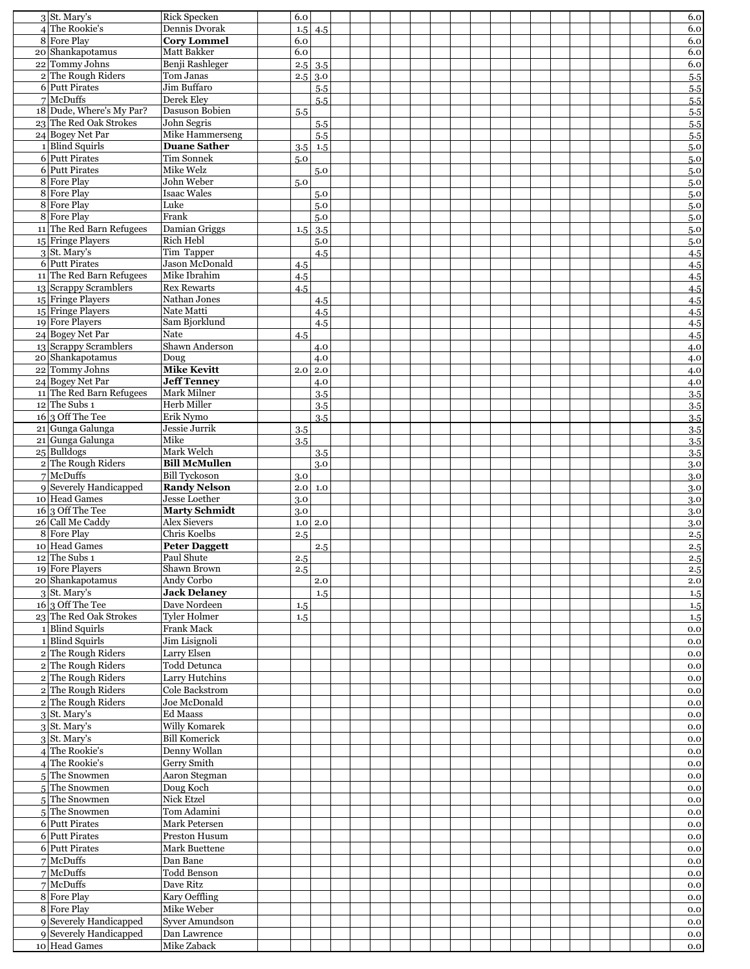| $3$ St. Mary's                                    | <b>Rick Specken</b>                      | 6.0        |            |  |  |  |  |  |  |  |  | 6.0        |
|---------------------------------------------------|------------------------------------------|------------|------------|--|--|--|--|--|--|--|--|------------|
| 4 The Rookie's<br>8 Fore Play                     | Dennis Dvorak                            | 1.5        | 4.5        |  |  |  |  |  |  |  |  | 6.0        |
| 20 Shankapotamus                                  | <b>Cory Lommel</b><br><b>Matt Bakker</b> | 6.0<br>6.0 |            |  |  |  |  |  |  |  |  | 6.0<br>6.0 |
| 22 Tommy Johns                                    | Benji Rashleger                          | 2.5        | 3.5        |  |  |  |  |  |  |  |  | 6.0        |
| 2 The Rough Riders                                | Tom Janas                                | 2.5        | 3.0        |  |  |  |  |  |  |  |  | 5.5        |
| 6 Putt Pirates                                    | <b>Jim Buffaro</b>                       |            | 5.5        |  |  |  |  |  |  |  |  | 5.5        |
| $7$ McDuffs                                       | Derek Eley                               |            | 5.5        |  |  |  |  |  |  |  |  | 5.5        |
| 18 Dude, Where's My Par?                          | Dasuson Bobien                           | 5.5        |            |  |  |  |  |  |  |  |  | $5.5\,$    |
| 23 The Red Oak Strokes<br>24 Bogey Net Par        | John Segris<br>Mike Hammerseng           |            | 5.5<br>5.5 |  |  |  |  |  |  |  |  | 5.5        |
| 1 Blind Squirls                                   | <b>Duane Sather</b>                      | 3.5        | 1.5        |  |  |  |  |  |  |  |  | 5.5<br>5.0 |
| 6 Putt Pirates                                    | <b>Tim Sonnek</b>                        | 5.0        |            |  |  |  |  |  |  |  |  | 5.0        |
| 6 Putt Pirates                                    | Mike Welz                                |            | 5.0        |  |  |  |  |  |  |  |  | 5.0        |
| 8 Fore Play                                       | John Weber                               | 5.0        |            |  |  |  |  |  |  |  |  | 5.0        |
| 8 Fore Play                                       | Isaac Wales                              |            | 5.0        |  |  |  |  |  |  |  |  | 5.0        |
| 8 Fore Play<br>8 Fore Play                        | Luke<br>Frank                            |            | 5.0<br>5.0 |  |  |  |  |  |  |  |  | 5.0<br>5.0 |
| 11 The Red Barn Refugees                          | Damian Griggs                            | 1.5        | 3.5        |  |  |  |  |  |  |  |  | 5.0        |
| 15 Fringe Players                                 | Rich Hebl                                |            | 5.0        |  |  |  |  |  |  |  |  | 5.0        |
| $3$ St. Mary's                                    | Tim Tapper                               |            | 4.5        |  |  |  |  |  |  |  |  | 4.5        |
| 6 Putt Pirates                                    | Jason McDonald                           | 4.5        |            |  |  |  |  |  |  |  |  | 4.5        |
| 11 The Red Barn Refugees<br>13 Scrappy Scramblers | Mike Ibrahim<br><b>Rex Rewarts</b>       | 4.5        |            |  |  |  |  |  |  |  |  | 4.5        |
| 15 Fringe Players                                 | Nathan Jones                             | 4.5        | 4.5        |  |  |  |  |  |  |  |  | 4.5<br>4.5 |
| 15 Fringe Players                                 | Nate Matti                               |            | 4.5        |  |  |  |  |  |  |  |  | 4.5        |
| 19 Fore Players                                   | Sam Biorklund                            |            | 4.5        |  |  |  |  |  |  |  |  | 4.5        |
| 24 Bogey Net Par                                  | Nate                                     | 4.5        |            |  |  |  |  |  |  |  |  | 4.5        |
| 13 Scrappy Scramblers                             | Shawn Anderson                           |            | 4.0        |  |  |  |  |  |  |  |  | 4.0        |
| 20 Shankapotamus<br>22 Tommy Johns                | Doug<br><b>Mike Kevitt</b>               | 2.0        | 4.0<br>2.0 |  |  |  |  |  |  |  |  | 4.0<br>4.0 |
| 24 Bogey Net Par                                  | <b>Jeff Tenney</b>                       |            | 4.0        |  |  |  |  |  |  |  |  | 4.0        |
| 11 The Red Barn Refugees                          | Mark Milner                              |            | 3.5        |  |  |  |  |  |  |  |  | 3.5        |
| $12$ The Subs 1                                   | Herb Miller                              |            | 3.5        |  |  |  |  |  |  |  |  | 3.5        |
| $16 3$ Off The Tee                                | Erik Nymo                                |            | 3.5        |  |  |  |  |  |  |  |  | 3.5        |
| 21 Gunga Galunga<br>21 Gunga Galunga              | Jessie Jurrik<br>Mike                    | 3.5        |            |  |  |  |  |  |  |  |  | 3.5        |
| $25$ Bulldogs                                     | Mark Welch                               | 3.5        | 3.5        |  |  |  |  |  |  |  |  | 3.5<br>3.5 |
| 2 The Rough Riders                                | <b>Bill McMullen</b>                     |            | 3.0        |  |  |  |  |  |  |  |  | 3.0        |
| $7$ McDuffs                                       | <b>Bill Tyckoson</b>                     |            |            |  |  |  |  |  |  |  |  |            |
|                                                   |                                          | 3.0        |            |  |  |  |  |  |  |  |  | 3.0        |
| 9 Severely Handicapped                            | <b>Randy Nelson</b>                      | 2.0        | 1.0        |  |  |  |  |  |  |  |  | 3.0        |
| 10 Head Games                                     | <b>Jesse Loether</b>                     | 3.0        |            |  |  |  |  |  |  |  |  | 3.0        |
| $16 3$ Off The Tee                                | <b>Marty Schmidt</b>                     | 3.0        |            |  |  |  |  |  |  |  |  | 3.0        |
| 26 Call Me Caddy<br>8 Fore Play                   | <b>Alex Sievers</b>                      | 1.0        | 2.0        |  |  |  |  |  |  |  |  | 3.0        |
| 10 Head Games                                     | Chris Koelbs<br><b>Peter Daggett</b>     | 2.5        | 2.5        |  |  |  |  |  |  |  |  | 2.5        |
| $12$ The Subs 1                                   | Paul Shute                               | 2.5        |            |  |  |  |  |  |  |  |  | 2.5<br>2.5 |
| 19 Fore Players                                   | Shawn Brown                              | 2.5        |            |  |  |  |  |  |  |  |  | 2.5        |
| 20 Shankapotamus                                  | Andy Corbo                               |            | 2.0        |  |  |  |  |  |  |  |  | 2.0        |
| $3$ St. Mary's                                    | <b>Jack Delaney</b>                      |            | 1.5        |  |  |  |  |  |  |  |  | 1.5        |
| $16\overline{)3}$ Off The Tee                     | Dave Nordeen<br><b>Tyler Holmer</b>      | 1.5        |            |  |  |  |  |  |  |  |  | 1.5        |
| 23 The Red Oak Strokes<br>1 Blind Squirls         | Frank Mack                               | 1.5        |            |  |  |  |  |  |  |  |  | 1.5<br>0.0 |
| 1 Blind Squirls                                   | Jim Lisignoli                            |            |            |  |  |  |  |  |  |  |  | 0.0        |
| 2 The Rough Riders                                | Larry Elsen                              |            |            |  |  |  |  |  |  |  |  | 0.0        |
| 2 The Rough Riders                                | Todd Detunca                             |            |            |  |  |  |  |  |  |  |  | 0.0        |
| 2 The Rough Riders                                | Larry Hutchins                           |            |            |  |  |  |  |  |  |  |  | 0.0        |
| 2 The Rough Riders                                | Cole Backstrom                           |            |            |  |  |  |  |  |  |  |  | 0.0        |
| 2 The Rough Riders                                | Joe McDonald<br><b>Ed Maass</b>          |            |            |  |  |  |  |  |  |  |  | 0.0<br>0.0 |
| $3$ St. Mary's<br>$3$ St. Mary's                  | Willy Komarek                            |            |            |  |  |  |  |  |  |  |  | 0.0        |
| $3$ St. Mary's                                    | <b>Bill Komerick</b>                     |            |            |  |  |  |  |  |  |  |  | 0.0        |
| 4 The Rookie's                                    | Denny Wollan                             |            |            |  |  |  |  |  |  |  |  | 0.0        |
| 4 The Rookie's                                    | Gerry Smith                              |            |            |  |  |  |  |  |  |  |  | 0.0        |
| 5The Snowmen                                      | Aaron Stegman                            |            |            |  |  |  |  |  |  |  |  | 0.0        |
| 5 The Snowmen                                     | Doug Koch                                |            |            |  |  |  |  |  |  |  |  | 0.0        |
| 5The Snowmen                                      | <b>Nick Etzel</b>                        |            |            |  |  |  |  |  |  |  |  | 0.0<br>0.0 |
| 5The Snowmen<br>6 Putt Pirates                    | Tom Adamini<br>Mark Petersen             |            |            |  |  |  |  |  |  |  |  | 0.0        |
| 6 Putt Pirates                                    | Preston Husum                            |            |            |  |  |  |  |  |  |  |  | 0.0        |
| 6 Putt Pirates                                    | Mark Buettene                            |            |            |  |  |  |  |  |  |  |  | 0.0        |
| $7$ McDuffs                                       | Dan Bane                                 |            |            |  |  |  |  |  |  |  |  | 0.0        |
| $7$ McDuffs                                       | <b>Todd Benson</b>                       |            |            |  |  |  |  |  |  |  |  | 0.0        |
| $7$ McDuffs                                       | Dave Ritz                                |            |            |  |  |  |  |  |  |  |  | 0.0        |
| 8 Fore Play<br>8 Fore Play                        | Kary Oeffling<br>Mike Weber              |            |            |  |  |  |  |  |  |  |  | 0.0<br>0.0 |
| 9 Severely Handicapped                            | <b>Syver Amundson</b>                    |            |            |  |  |  |  |  |  |  |  | 0.0        |
| 9 Severely Handicapped<br>10 Head Games           | Dan Lawrence<br>Mike Zaback              |            |            |  |  |  |  |  |  |  |  | 0.0<br>0.0 |